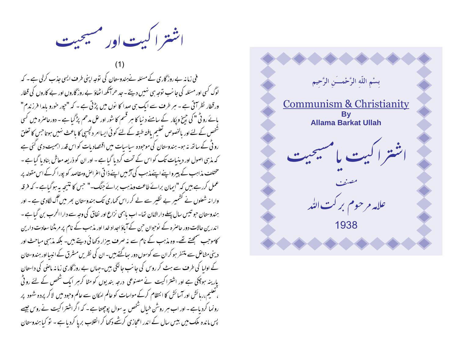اشتر اکیت اور مسیحیت

فی زمانہ بے روز گاری کے مسئلہ نےہندوستان کی نوجہ اپنی طرف ایسی جذب کرلی ہے ۔ کہ لوگ کسی اور مسئلہ کی جانب نوجہ سی نہیں دیتے ۔ جد ھرآنکھ اٹھاؤ بے روز گاروں اور بے کاروں کی قطار ورقطار نظر آتی ہے ۔ ہر طرف سے ایک ہی صدا کا نوں میں پڑتی ہے ۔ کہ "جور خورو باہدا فرزندم" بائے رو ٹی " کی جیخ ویکار کے سامنے د نیا کا ہر قسم کا شور اور عل مدھم پڑ گیا ہے ۔ دورحاصرہ میں کسی شخص کے لئے اور بالخصوص تعلیم بافتہ طبقہ کے لئے کوئی ایساامر دلچیپی کا باعث نہیں ہوتاجس کا تعلق رو ٹی کے ساتھ نہ ہو۔ ہندوستان کی موجودہ سیاسیات میں اقتصادیات کو اس قدر اہمیت دی گئی ہے کہ مذہبی اصول اور دینیات تک کو اس کے تحت کردیا گیا ہے ۔ اور ان کو ذریعہ معاش بناد یا گیا ہے ۔ مختلف مذاہب کے پیر واپنے اپنےمذہب کی آڑ میں اپنے ذاتی اعراض ومقاصد کو پورا کرکے اس مقولہ پر عمل کررہے ہیں کہ "ایمان برائے طاعت ومذہب برائے جنگ۔" حس کا نتیجہ بہ ہوگیاہے۔ کہ فرقہ وارا نہ شعلوں نے کشمیر بے نظیر سے لے کر راس <sub>محمار</sub>ی تک ہندوستان بھر میں آگ لگادی ہے ۔ اور ہندوستان حبو تنیس سال پہلے دارالامان تھا۔ اب پاہمی نزاع اور نفاق کی وجہ سے دارا الحرب بن گیا ہے ۔ اندرین حالات دور حاصرہ کے نوحبوان حبی کے آباؤ اجداد خدا اور مذہب کے نام پر مرمڈنا سعادت دارین کاموجب سمجھتے تھے۔ وہ مذہب کے نام سے نہ صرف بیزار دکھائی دیتے ہیں۔ بلکہ مذہبی مباحث اور دینی مشاعل سے متنفر ہو کر ان سے کوسوں دور ساگتے ہیں۔ ان کی نظریں مسٹرق کے انبیا اور ہندوستان کے اولیا کی طرف سے ہٹ کر روس کی جانب جالگی ہیں۔حہاں بے روز گاری زمانہ ماصی کی داستان پارینہ ہوچکی ہے اور اشتراکیت نے مصنوعی درجہ بندیوں کو مٹا کرمبر ایک شخص کے لئے رو ٹی ، تعلیم،ربائش اور آسائش کا انتظام کرکے مواسات کو عالم امکان سے عالم وحبود میں لاکر پردہ شہود پر رونما کردیاہے - اور اب ہر روشْن خیال شخص یہ سوال پوچھتا ہے - کہ اگر اشترا کیت نے روس جیسے پس ماندہ ملک میں بیس سال کے اندر اعجازی کرشے دکھا کر انقلاب برپا کردیا ہے ۔ تو کیا ہندوستان

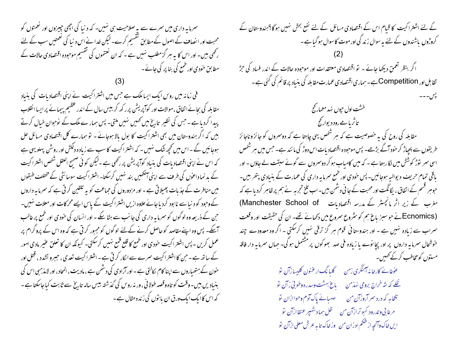سمرمایہ داری میں سمرے سے یہ صلاحیت ہی نہیں۔ کہ د نیا کی اچھی چیزوں اور نعمتوں کو محبت اور ایضاف کے اصول کے مطابق گقسیم کرے۔لیکن خدانے اس د نیا کی لعمتیں سب کے لئے رکھی بیں۔ اور اس کا یہ ہر گزمطلب نہیں ہے ۔ کہ ان نعتموں کی نقسیم موحودہ اقتصادی حالات کے مطابق حودی اور طمع کی بنا پر کی جائے ۔

فی زمانہ میں روس ایک ایسا ملک ہے جس میں اشتر اکیت نے اپنی اقتصادیات کی بنیاد مقابلہ کی بحائے اتفاق ،موالات اور کوآپریش پرر کھ کر بیس سال کے اندر عظیم پیمانے پر ایسا انقلاب پیدا کردیا ہے ۔حبن کی نظیر تاریخ میں تھمیں نہیں ملتی۔ پس ہمار ے ملک کے نوحوان خیال کرتے ہیں کہ اگر ہندوستان میں بھی اشتراکیت کا بول بالا ہوجائے ۔ تو ہمارے کل اقتصادی مسائل عل ہوجائیں گے۔اس میں تحچھ شک نہیں۔ کہ اشتراکیت کاسب سے زیادہ دلکش اور روشن پہلویہی ہے کہ اس نے اپنی اقتصاد بات کی بنیاد کوآپریش پر رکھی ہے ۔لیکن کوئی صحیح العقل شخص اشتراکیت کے بد نماداعوں کی طرف سے اپنی آنکھیں بند نہیں کرسکتا۔ اشتراکیت سوسائٹی کے مختلف طبقوں میں منافرت کے جذبات پھیلاتی ہے - اور مزدوروں کی حماعت کو یہ تلقین کرتی ہے کہ سمرما یہ داروں کے وحبود کو د نباسے نا بود کردیا جائے علاوہ ازیں اشتر اکیت کے پاس ایسے محرکات اور معلات ہنیں۔ حہن کے ذریعہ وہ لوگوں کو سمرما بہ داری کی جانب سے ہٹا سکے ۔ اور انسان کی خود ی اور طمع پر غالب آسکے۔ پس وہ اپنے مقاصد کو حاصل کرنے کےلئے لوگوں کو مجبور کرتی ہے کہ وہ اس کے پروگرام پر عمل کریں ۔ پس اشتر اکیت حودی اور طمع کا قلع قمع نہیں کرسکتی۔ کیونکہ ان کا تعلق عنیر مادی امور کے ساتھ ہے ۔ حن کا اشتر اکیت سمرے سے الکار کرتی ہے ۔اشتر اکیت تعدی ، حبیرو تشدد ، قتل اور حون کے ہتھیاروں سے اپنا کام کالتی ہے - اور آزادی کی دشمن ہے ، مادیت ، المحاد ، اور لامذہبی اس کی بنیادیں بین۔وقت کو تاہ وقصہ طولانی ، ور نہ روس کی گذشتہ بیس سالہ تاریخ سے ثابت کیاجاسکتا ہے ۔ کہ اس کاایک ایک ورق ان با نوں کی زندہ مثال ہے ۔

کے لئے اشتراکیت کا قیام اس کے اقتصادی مسائل کے لئے نفع بحش نہیں ہوگا؟ہندوستان کے کروڑوں باشندوں کے لئے بہ سوال زند کی اور موت کاسوال ہو گیا ہے ۔ اگر بنظر تعمق دیکھا جائے ۔ تو اقتصادی معتقدات اور موحبودہ حالات کے اندر فساد کی حِڑل تقابل اور Competition ہے۔ہماری اقتصادی عمارت مقابلہ کی بنیاد پر قائم کی کئی ہے ۔ خشت اول حپوں نہد معمار گج تاثریا ہے رود دیوار گج مقابلہ کی روح کی یہ خصوصیت ہے کہ ہر شخص یہی چاہتا ہے کہ دوسمروں کو جائز وناجائز طریقوں سے پیچیاڑ کر حنود آگے بڑھے۔ پس موحبودہ اقتصاد بات اس دوڑ کی ما نند ہے۔ جس میں ہر شخص اسی سمر توڑ کوشش میں لگارہتا ہے ۔ کہ میں کامیاب ہو کر دوسمروں سے گوئے سبقت لے جاؤں - اور یاقی تمام حریف دیوالیہ ہوجائیں۔پس خودی اور طمع سرمایہ داری کی عمارت کے بنیادی پتھر بیں۔ حبوہر قسم کے اتفاق ، یگانگت اور محبت کے جا فی دشمن بیں۔اب تلخ تجربہ نے ہم پر ظاہر کردیا ہے کہ مغرب کے زیر اثر مانچسٹر کے مدرسہ اقتصادیات Manchester School of) (Ecnomicsشا جو سبزیاغ ہم کو مثروع سروع میں دکھائے تھے۔ ان کی حقیقت اور وقعت سراب سے زیادہ نہیں ہے - اور ہندوستانی قوم ہر گز ترقی نہیں کرسکتی - اگر وہ معدودے چند خوشحال سمرمایہ داروں پر اور بچا نوے یا زیادہ فی صد بھو کوں پر مشتمل ہو گی۔ جہاں سمرمایہ دار فاقہ مىتوں كومخاطب كركے كھىس۔ عَوْمَائے کارخانہ آہنگری زمن گلیا نگ ارعنون کلیسا زآن تو

نخلے کہ ش<sup>ر</sup>خراج بروی نہذ<sup>م</sup>ن <sub>ی</sub> باغ بهشت وسدرہ وطوی<sup>ع</sup>ی زآن تو تلخامہ کہ درد سر آروزآن من مسلسلے پاک آدم وحواازان تو مرغا پی و تدرود کیوترازآن من سلطل سمادشهپر عنقاازآن تو ايں خاک وآنچهِ از شکم ادران من وزخاک تابہ عرش معلی ارْآن تو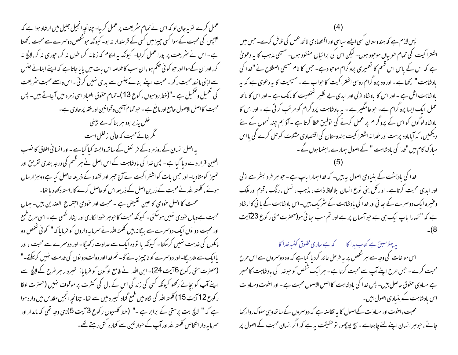عمل کرے تو یہ جان لو کہ اس نے تمام مثر یعت پر عمل کرلیا۔ چنانچہ انجیل جلیل میں ارشاد ہوا ہے کہ "آپس کی محبت کے سوا کسی چیز میں کسی کے قرصدار نہ ہو۔ کیونکہ حبوشخص دوسمرے سے محبت رکھتا ہے ۔اس نے سٹریعت پر پوراعمل کرایا۔ کیونکہ یہ احکام کہ زنانہ کر، حون نہ کر، حپوری نہ کر، لالچ نہ کر، اور ان کےسوااور حبو کو ئی حکم ہو، ان سب کا خلاصہ اس بات میں یا یا جاتا ہے کہ اپنے ابنائے جنس سے اپنی مانند محبت رکھ ۔ محبت اپنے ابنائے جنس سے یدی نہیں کرتی ۔ اس واسطے محبت سٹریعت کی تعمیل و تنممیل ہے ۔"(خط رومیوں رکوع 13)۔تمام حقوق العباد اسی زمرہ میں آجاتے بیں۔ پس محبت کا اصل الاصول جامع اور مانع ہے - حبو تمام آئین وقوانین اور فقہ پر حاوی ہے۔ خلل پذیر بود ہر بنا کہ ہے بینی گر بنائے محبت کہ خالی از خلل است یہ اصل انسان کے روزمرہ کے فرائض کے ساتھ وابستہ کیا گیا ہے - اور انسانی اخلاق کا نصب العین قرار دے دیا گیا ہے - پس خدا کی بادشاہت کے اس اصل نے ہر قسم کی درجہ بندی تفریق اور تمہیز کومٹادیا۔اور جس بات کواشتراکیت نے آج حبیر اور تشدد کے ذریعہ حاصل کیا ہے دوہزار سال ہوئے ، کلمتہ اللہ نے محبت کے زرین اصل کے ذریعہ اس کوحاصل کرنے کاراستہ دکھادیا تھا۔ محبت کا اصل خودی کا عین نقیض ہے ۔ محبت اور خودی اجتماع الصدین بیں۔ جہاں محبت ہےوہاں حودی نہیں ہوسکتی ۔ کیونکہ محبت کاحبوم حود انکاری اور ایثار نفسی ہے ۔اسی طرح طمع اور محبت دو نوں ایک دوسرے سے بیگا نہ بیں کلمتہ اللہ نے سمرہا بہ داروں کو فرما یا کہ " کوئی شخص دو مالکوں کی خدمت نہیں کرسکتا۔ کیونکہ یا تووہ ایک سے عداوت رکھیگا۔ اور دوسمرے سے محبت ، اور پاایک سے ملارہیگا- اور دوسمرے کو ناچیز جانے گا- تم خدااور دولت دو نوں کی خدمت نہیں کرسکتے-" (حصرت متی رکوع 6آیت 24)۔ ابن اللہ نے طامع لوگوں کو فرمایا: خبر دار ہر طرح کے لالچ سے اپنے آپ کو بجائے رکھو کیونکہ کسی کی زندگی اس کے مال کی کنثرت پر موقوف نہیں (حصرت لوقا ر کوع 12 آیت 15) کلمتہ اللہ کی لگاہ میں طمع گناہ کبیرہ میں سے تھا۔ چنانچہ انجیل مقدس میں وارد ہوا ہے کہ " لالچ بت پرستی کے برابر ہے ۔" (خط کلسیوں رکوع 3 آیت 5) یہی وجہ تھی کہ مالدار اور سمرمایہ دار اشخاص کلمتہ اللہ اور آپ کے حوار ئین سے کنارہ کش رہتے تھے۔

پس لازم ہے کہ ہندوستان کسی ایسے سیاسی اور اقتصادی لائحہ عمل کی تلاش کرے۔حس میں اشترا کیت کی تمام خوبیاں موحود ہوں۔ لیکن اس کی برائیاں مفقود ہوں۔ مسیحی مذہب کا یہ دعویٰ ہے کہ اس کے پاس اس قسم کا تعمیری پروگرام موجو دہے۔ جس کا نام مسیحی اصطلاح نے "خدا کی بادشاہت " رکھاہے۔ اور وہ پروگرام روسی اشتر اکیت کا حواب ہے ۔مسیحیت کا بہ دعویٰ ہے کہ بہ بادشاہت اٹل ہے ۔ اور اس کا بادشاہ ازلی اور ایدی بے نظیر شخصیت کا مالک ہے ۔ اور اس کا لائحہ عمل ایک ایسا پروگرام ہے۔ حوعالمگیر ہے - یہ مادشاہت پروگرام کو مرتب کرتی ہے ۔ اور اس کا بادشاہ لوگوں کو اس کے پروگرام پر عمل کرنے کی توفیق عطا کرتا ہے ۔ آؤ ہم چند لمحوں کے لئے دیکھیں، کہ آیامادہ پرست اور ملحدا نہ اشتر اکیت ہندوستان کی اقتصادی مشکلت کوحل کرے گی یا اس مبارک کام میں "خدا کی بادشاہت " کے اصول ہمارے راہنما ہوں گے۔

خدا کی بادہشت کے بنیادی اصول بہ ہیں۔ کہ خدا ہمارا باپ ہے ۔ حو ہر فرد بسٹر سے ازلی اور ابدی محبت کرتاہے۔ او ر کل بنی نوع انسان بلا لحاظ ذات ، مذہب ، نسل ، رنگ ، قوم اور ملک وعنیرہ ایک دوسمرے کے سائی اور خدا کی بادشاہت کے سٹریک بیں۔اس بادشاہت کے بانی کاارشاد ہے کہ " تہارا پاپ ایک ہی ہے حواسمان پر ہے اور تم سب ہیائی ہو(حصرت متی رکوع 23 آیت

یہ پہلاسبق ہے کتاب بدا کا ہے کہ ہے ساری مخلوق کنیہ خدا کا اس مواخات کی وجہ سے ہر شخص پر یہ فرص عائد کردیا گیا ہے کہ وہ دوسمروں سے اس طرح محبت کرے ۔ حس طرح اپنے آپ سے محبت کرتا ہے ۔ ہر ایک شخص کو حبوخدا کی بادشاہت کا ممبر ہے مساوی حقوق حاصل ہیں۔ پس خدا کی بادشاہت کا اصل الاصول محبت ہے ۔ اور احوت ومساوات اس بادشاہت کے بنیادی اصول بیں۔ محبت،احوت اور مساوات کےاصول کا یہ تقاصد ہے کہ دوسمروں کے ساتھ وہی سلوک روارکھا

جائے ، حبو ہر انسان اپنے لئے چاہتاہے - سچ پوچھو، توحقیقت پہ ہے کہ اگرانسان محبت کے اصول پر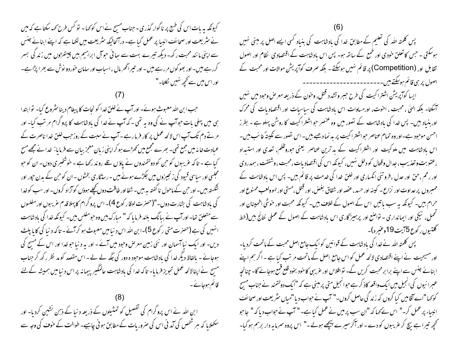کیونکہ یہ بات اس کی طبع پر ناگوار گذری - جناب مسح نے اس کو <sub>ک</sub>ھا - تو کس طرح <sub>ک</sub>ھہ سکتا ہے کہ میں نے سٹریعت اور صحائف انبیا پر عمل کیا ہے۔ درآنجالیکہ سٹریعت میں لکھا ہے کہ اپنے ابنائے جنس سے اپنی ما نند محبت رکھ۔ دیکھ تیرے بہت سے ہیا ئی حوآل ابراہیم بیں چیتھڑوں میں زند کی بسر کررہے ہیں۔ اور بھو کوں مررہے ہیں ۔ اور تبیراٹھر مال ، اسیاب اور سامان خور دو نوش سے بھرا پڑاہے۔ اور اس میں سے تحیمہ نہیں لکلتا۔"

حب ابن الله معبوث موئے۔ اور آپ نے خلق خدا کو نجات کا پیغام دینا سٹروع کیا۔ توابتدا ہی میں پہلی بات حبوآپ نے کی وہ بہ تھی ۔کہ آپ نے غدا کی بادشاہت کا پروگرام مر تب کیا۔ اور مرتے دم تک آپ اس لائحہ عمل پر کار فرمارہے ۔آپ نے سبت کے روزحب خلق خدا ناصرت کے عبادت خانہ میں جمع تھی۔ بھرے مجمع میں کھڑے ہو کراپنی زبان معجز بیان سے فرمایا: خدا نے مجھے مسح کیا ہے - تاکہ عریبوں کو حن کو دولتمندوں نے یاؤ ں تلے روند رکھا ہے - خوشخبری دوں- ان کو حبو مجلسی اور سیاسی قبیود کی زنجیزوں میں جکڑے ہوئے ہیں ۔ رسڈگاری بخشوں - ان کو حبن کے بدن حپور اور شکستہ بیں۔اور حمِن کے ماحول نا گفتہ ہہ بیں۔شفااور طاقت دوں کچلے ہوؤں کوآراد کروں۔اور سب کوخدا کی بادشاہت کی بشارت دوں۔"(حصرت لوقا رکوع 4)۔ اس پروگرام کاپہلا قدم عربیبوں اور مفلسوں سے متعلق تھا۔ اور آپ نے بیانگ بلند فرمایا کہ " مبارک بیں وہ حومفلس بیں۔ کیونکہ خدا کی بادشاہت انهبیں کی ہے (حصرت متی رکوع 5)۔ابن اللہ اس دنیامیں معبوث ہو کرآئے - تاکہ دنیا کی کاپا پلٹ دیں۔ اور ایک نبا آسمان اور نئی زمین معرض وحبود میں آئے ۔ اور یہ د نبا حبو خدا اور اس کے مسح کی ہوجائے - بالفاظ دیگر خدا کی بادشاہت موحبود ہ دور کی جگہ لے لے - اس مقصد کو مد نظر رکھ کر جناب مسح نے اپنالائحہ عمل تجویز فرمایا- تاکہ خدا کی بادشاہت عالمگیر پیمانہ پر اس د نیامیں ہمیشہ کےلئے قائم ہوجائے۔

ابن اللہ نے اس پروگرام کی تفصیل کو تمثیلوں کے ذریعہ دنیا کے ذہن نشین کردیا- اور سکھلایا کہ ہر شخص کی آمد نی اس کی صروریات کے مطابق ہو نی چاہیے۔ طوالت کے خوف کی وجہ سے پس کلمتہ اللہ کی تعلیم کے مطابق خدا کی بادشاہت کی بنباد کسی ایسے اصل پر مبنی نہیں ہوسکتی ۔ حس کا تعلق خودی اور طمع کے ساتھ ہو۔ پس اس بادشاہت کے اقتصادی ِ نظام اور اصول تقابل اور (Competition) پر قائم نہیں ہوسکتے ۔ بلکہ صرف کوآپریش موالات اور محبت کے اصول پر سی قائم ہوسکتے ہیں۔۔۔۔۔۔۔۔۔۔۔۔۔۔۔۔۔۔۔۔۔

ایسا کوآپریش اشتراکیت کی طرح حببر و تشدد قس ،وخون کے ذریعہ معرض وحود میں نہیں ۔<br>اسکتا- بلکہ الہیٰ ، محبت ، احنوت، اور مساوات اس بادشاہت کی سیاسیات اور اقتصادیات کی محرک اور بنیاد ہیں۔ پس خدا کی بادشاہت کے تصور میں وہ عنصر حبواشترا کیت کا روشن پہلو ہے ۔ بطرز احسن موحبود ہے۔اور وہ تمام عناصر حبواشتر اکیت پر بد نما دھبے ہیں۔اس نصور سے نکینۂً غائب ہیں۔ اس بادشاہت میں ملو کیت اور اشتراکیت کے بد ترین عناصر یعنی حوروظلم، تعدی اور استیداد ،عقوبت و تعذیب، جدال وقتال کو دخل نهیں، کیونکہ اس کی اقتصادیات،محبت، وشفقت، ہمدردی اور رحم ،حق اور عدل ،فروتنی انکساری اور خلق خدا کی خدمت پر قائم ہیں۔ پس اس بادشاہت کے ممبروں پر عداوت اور نزاع ۔ کینہ اور حسد ، عضہ اور شقاق بغض، اور قتل ،مستی اور لهوولعب ممنوع اور حرام ہیں۔ کیونکہ یہ سب ماتیں اس کے اصول کے خلاف ہیں۔ کیونکہ محبت اور خوشی اطمینان اور تحمل، نیکی اور ایمانداری - تواصع اور پرہیز گاری اس بادشاہت کے اصول کے عملی خانج بیں(خط گلتىيوں ركوع 5آيت 19وغىرہ)۔

پس کلمتہ اللہ نے خدا کی بادشاہت کے قوانین کوایک جامع اصل محبت کے ماتحت کردیا-اور مسیحیت نے اپنے اقتصادی لائحہ عمل کو اس جامع اصل کے ماتحت مرتب کیا ہے ۔ اگر ہم اپنے ابنائے جنس سے اپنے برابر محبت کریں گے۔ تو افلاس اور عربیی کا حود بخود قلع قنمع ہوجائے گا۔ چنانچہ عسرا نیوں کی انجیل میں ایک واقعہ کاذ کر ہے حوانجیل متی پر مبنی ہے کہ "ایک دولتمند نے جناب مسح کو کہا"اے آقامیں کیا کروں کہ زند گی حاصل کروں۔" آپ نے حواب دیا"میاں سٹریعت اور صحائف انبیاء پر عمل کر۔" اس نے <sub>ک</sub>ھا کہ "ان سب پر میں نے عمل کیا ہے۔" آپ نے حواب دیا کہ" جاحو تحجیہ تیرا ہے بیچ کر عریبوں کو دے - اور آکر میرے پیچھے ہوئے -" اس پروہ سمرمایہ دار برہم ہوگیا-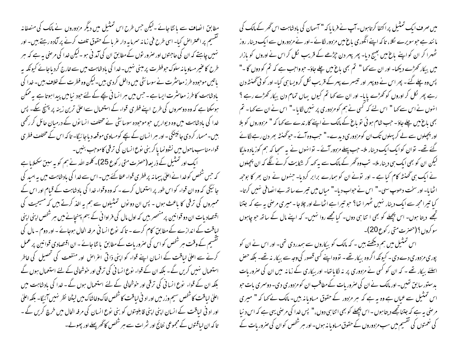مطابق انصاف سے بانٹا جائے ۔لیکن جس طرح اس تمثیل میں دیگر مزدوروں نے مالک کی منصفانہ گفتسیم پر اعتراض کیا۔ اسی طرح فی زمانہ سمرما بہ دار عربا کے حقوق تلف کرنے پر آمادہ رہتے ہیں۔ اور نہیں چاہتے کہ ان کی حاجتوں اور صرور نوں کےمطابق ان کی آمد نی ہو ۔لیکن خدا کی مرصٰی یہ ہے کہ ہر طرح کاعنیر مساویا نہ سلوک حوفطرت پر مبنی نہیں۔خدا کی بادشاہت میں سےخارج کردیاجائے کیونکہ بہ باتیں موحبودہ طرز معاسٹر ت نے سوسائٹی میں داخل کردی ہیں۔لیکن وہ فطرت کے خلاف ہیں۔خدا کی بادشاہت کاطرز معائشرت ایسا ہے ۔حب میں ہر انسا فی بچے کے لئے حبود نیامیں پیدا ہوتا ہے یہ ممکن ہوسکتا ہے کہ وہ دوسمروں کی طرح اپنے فطری قواء کے استعمال سےاعلیٰ ترین زینہ پر پہنچ سکے۔ پس خدا کی بادشاہت میں وہ دیواریں حوموحبودہ سوسائٹی نے مختلف انسانوں کے درمیان حائل کر رکھی بیں۔مسمار کردی جائینگی۔اور ہر انسان کے بچے کومساوی موقعہ دیاجا ئیگا- تاکہ اس کے مختلف فطر ی قواء مناسب ماحول میں نشوونما پا کر بنی نوع انسان کی ترقی کاموجب بنیں۔ ا یک اور تمثیل کے ذریعہ(حصرت متی ر کوع 25)۔ کلمتہ اللہ نے ہم کو بہ سبق سکھلایا ہے

کہ جس شخص کوخدا نے اعلیٰ پیما نہ پر فطری قواء عطا کئے ہیں۔اس سے خدا کی بادشاہت میں یہ امید کی جائیگی کہ وہ ان قواء کو اس طور پر استعمال کرے ۔ کہ وہ وقواء غدا کی بادشاہت کے قیام اور اس کے ممبروں کی ترقی کا باعث ہوں ۔ پس ان دو نوں تمثیلوں سے ہم یہ اخذ کرتے ہیں کہ مسیحیت کی اقتصادیات ان دو قوانین پرمنسحصر بیں کہ اول مال کی فراوا فی کے بہم پہنچانے میں ہر شخص اپنی اپنی لیاقت کے اندازے کے مطابق کام کرے - تاکہ نوع انسانی مرفہ الحال ہوجائے - اور دوم - مال کی گفسیم کے وقت ہر شخص کو اس کی صروریات کے مطابق یا نٹا جائے - ان اقتصادی قوانین پر عمل کرنے سے اعلیٰ لیاقت کے انسان اپنے قواء کو اپنی ذاتی اعراض اور منفعت کی تحصیل کی خاطر استعمال سٰہیں کریں گے۔ بلکہ ان کے قواء نوع انسا فی کی ترقی اور خوشحالی کے لئے استعمال ہوں گے بلکہ ان کے قواء ِ نوع انسانی کی ترقی اور حوشحالی کے لئے استعمال ہوں گے ۔ خدا کی بادشاہت میں اعلیٰ لیاقت کاشخص سیم وزر میں اور اد ٹی لیاقت کاشخص خاک وخاشاک میں لیٹتا نظر نہیں آئیگا۔ بلکہ اعلیٰ اور اد ٹی لیاقت کے انسان اپنی اپنی قابلیتوں کو بنی نوع انسان کی مرفہ الحال میں خرچ کریں گے ۔ تا کہ ان لیاقتوں کے مجموعی نتائج اور شرات سے ہر شخص کا گھرپھلے اور پھولے۔

میں صرف ایک تمثیل پراکتفا کرتاہوں۔آپ نے فرمایا کہ " آسمان کی بادشاہت اس گھر کے مالک کی ما نند ہے حوسویرے لکلا، تاکہ اپنے انگوری باغ میں مزدور لگائے -اور نے مزدوروں سے ایک دینار روز ٹھہرا کر ان کو اپنے باغ میں بھیج دیا۔ پھر پہر دن حیڑھے کے قریب لکل کر اس نے اوروں کو بازار میں بیکار کھڑے دیکھا۔ اور ان سے کہا " تم بھی ماغ میں چلے جاؤ۔ حبو واجب ہے کہ تم کو دوں گا -" پس وہ چلے گئے ۔ پھر اس نے دوپہر اور تیسرے پہر کے قریب نکل کرویسا ہی کیا۔اور کو ٹی گھنٹہ دن رہے پھر لکل کر اوروں کو کھڑے پایا۔ اور ان سے کہا تم کیوں یہاں تمام دن بیکار کھڑے رہے ؟ انہوں نےاس سے کہا " اس لئے کہ کسی نے ہم کو مزدوری پر نہیں لگایا۔" اس نےان سے کہا۔ تم بھی باغ میں چلے جاؤ۔ حب شام ہو ئی تو باغ کے مالک نے اپنے کار ندے سے کہا کہ " مزدوروں کو بلا اور بھچلوں سے لے کر پہلوں تک ان کومزدوری دیدے۔" حب وہ آئے۔حوٹھنٹہ بھر دن رہے لگائے گئے تھے۔ نوان کوایک ایک دینار ملا۔ حب پہلے مزدور آئے ۔ نوائهوں نے بہ سمجا کہ ہم کوزیادہ ملیگا لیکن ان کو بھی ایک ہی دینار ملا۔ تب وہ ٹھر کے مالک سے ہہ کہہ کر شکایت کرنے لگے کہ ان پیچلوں نے ایک ہی گھنٹہ کام کیا ہے - اور نونے ان کو ہمارے برابر کردیا- جنہوں نے دن بھر کا بوجھہ الٹھایا- اور سخت دھوپ سہی-" اس نے حبواب دیا-" مباں میں تیرے ساتھ بے انصافی نہیں کرتا-کیا تیرا مجھ سے ایک دینار نہیں ٹھہرا تھا؟ حو تیرا ہے اٹھالے اور چلاجا - میری مرضی ہیہ ہے کہ جتنا تجھے دیتا ہوں۔ اس پچھلے کو بھی ا تنا ہی دوں۔ کیا مجھے روا نہیں۔ کہ اپنے مال کے ساتھ حو چاہوں سو کروں؟ (حصرت متی ر کوع 20)۔

اس تمثیل میں ہم دیکھتے ہیں ۔ کہ مالک کو بیکاروں سے ہمدردی تھی۔ اور اس نے ان کو پوری مزدوری دے دی۔ کیونکہ اگروہ بیکار تھے۔ تووہ اپنے کسی قصور کی وجہ سے بیکار نہ تھے۔ بلکہ حص اسلئے بیکار تھے ۔ کہ ان کو کسی نے مزدوری پر نہ لگایاتھا- اور بیکاری کے زمانہ میں ان کی صروریات یدستور سابق تھیں۔ اور مالک نے ان کی صرور بات کےمطاقب ان کو مزدوری دی۔ دوسری بات حبو اس تمثیل سے عماں ہے وہ یہ ہے کہ ہر مزدور کے حقوق مساویانہ بین- مالک نے کہا کہ " میری مر صنی ہہ ہے کہ جتناتجھے دیتا ہوں - اس پچھلے کو بھی اتنا ہی دوں،" پس خدا کی مرصٰی یہی ہے کہ اس د نیا کی نعمتوں کی تقسیم میں سب مزدوروں کے حقوق مساویا نہ ہوں۔ اور ہر شخص کوان کی صروریات کے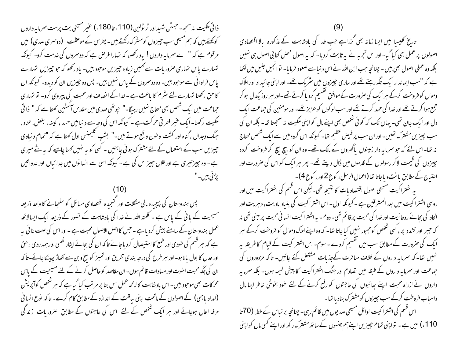ذا تی مک*لیت نہ سمجھ۔ جسٹن شہید* اور ٹر ٹولین (110ء تا 180ء) عنیر مسیحی بت پرست سمرما ہہ داروں کوکھتے ہیں کہ ہم مسیحی سب جیپزوں کومشرک رکھتے ہیں۔ پطریں کے موعظت (دوسری صدی) میں " مرقوم ہے کہ " اے سمرمایہ داروں! یاد رکھو، کہ تہارا فرص ہے کہ دوسمروں کی خدمت کرو۔ کیونکہ تہارے پاس تہاری صروریات سے کھیں زیادہ جیبریں موحود بیں۔ باد رکھو کہ حو جیبریں تہارے پاس فراوانی سے موجود ہیں۔وہ دوسمروں کے پاس نہیں ہیں۔ پس وہ چیزیں ان کو دیدو۔ کیونکہ ان کا حق رکھنا تہارے لئے سُرم کا باعث ہے ۔خدا کے انصاف اور محبت کی پیروی کرو۔ تو تہاری حماعت میں ایک شخص بھی مساج نہیں رہیگا۔" حیوتھی صدی میں مقدس آکسٹین کھتا ہے کہ " ذا تی مککیت رکھنا۔ ایک عنیر فطر ٹی حرکت ہے ۔ کیونکہ اس کی وجہ سے د نیامیں حسد ، کیبنہ ، بغض، عناد، جنگ وجدال ، گناه اور کشت وحون واقع ہوتے ہیں۔" بشپ کلیمنس اول کھتا ہے کہ "تمام د نباوی چیزیں سب کے استعمال کے لئے مشترک ہونی چاہئیں - کسی کو یہ نہیں کھنا چاہیے کہ یہ ستے میری ہے ۔ وہ جپیز تیری ہے اور فلاں جپیز اس کی ہے ۔ کیونکہ اسی سے انسانوں میں جدا ئیاں اور عدواتیں يڑئی بين-"

پس ہندوستان کی پیچیدہ مالی مثکلات اور کنجیدہ اقتصادی مسائل کو سلجھانے کا واحد ذریعہ مسیحیت کے بانی کے پاس ہے ۔ کلمتہ اللہ نے خدا کی بادشاہت کے تصور کے ذریعہ ایک ایسا لائحہ عمل ہندوستان کے سامنے پیش کردیا ہے ۔حس کا اصل الاصول محبت ہے ۔ اور اس کی علت عا ئی یہ ہے کہ ہر قسم کی خودی اور طمع کا استیصال کردیاجائے تاکہ ان کی بحائے ایثار نفسی اور ہمدردی ،حق اور عدل کا بول بالاہو۔ اور سر طرح کی درجہ بندی تفریق اور تمیز کو بیخ و بن سے اکھاڑ پہینکاجائے-تاکہ ان کی جگہ محبت احوت اور میاوات قائم ہوں۔ ان مقاصد کو حاصل کرنے کے لئے مسیحیت کے پاس محرکات بھی موحبود ہیں۔اس بادشاہت کالائحہ عمل اس بنا پر مرتب کیا گیاہے کہ ہر شخص کوآپریش (امداد یاہمی) کے اصولوں کے ماتحت اپنی لیاقت کے اندازہ کے مطابق کام کرے۔ تاکہ نوع انسا فی مرفہ الحال ہوجائے اور ہر ایک شخص کے لئے اس کی حاجتوں کے مطابق صروریات زند گی

تاریخ کلیسا میں ایسا زمانہ بھی گزراہے جب خدا کی بادشاہت کے مذکورہ بالا اقتصادی اصولوں پر عمل بھی کیا گیا۔اور اس تجربہ نے بیہ ثابت کردیا۔ کہ بیہ اصول محصٰ کتا بی اصول ہی سٰمیں بلکہ وہ عملی اصول بھی ہیں ۔ چنانچہ حب ابن اللہ نے اس د نیا سے صعود فرمایا۔ تو انجیل جلیل میں لکھا ہے کہ "سب ایماندار ایک جگہ رہتے تھے اور ساری حبیرزوں میں سٹریک تھے۔ اور اپنی جائیداد او راملاک وموال کو فروخت کرکے ہر ایک کی صرورت کے موافق گقسیم کردیا کرتے تھے۔اور ہر روز یکدل ہو کر جمع ہوا کرتے تھے اور خدا کی حمد کرتے تھے اور سب لوگوں کو عزیز تھے۔اور مومنین کی جماعت ایک دل اور ایک جان تھی۔ یہاں تک کہ کوئی شخص بھی اپنے مال کو اپنی مککیت نہ سمجھتا تھا۔ بلکہ ان کی سب حبیرزیں مشترک تھیں۔اور ان سب پر فیض عظیم تھا۔ کیونکہ اس گروہ میں سے ایک شخص محتاج نہ تھا-اس لئے کہ حو سمرما ہہ دار زمینوں پاٹھروں کے مالک تھے- وہ ان کو بیچ بیچ کر فروخت کردہ چیزوں کی قیمت لاکر رسولوں کے قدموں میں ڈال دیتے تھے۔ پھر ہر ایک کو اس کی صرورت اور احتیاج کےمطابق بانٹ دیاجاتا تھا (اعمال الرسل رکوع2 اور رکوع4)۔

بہ اشتراکیت مسیحی اصول اقتصاد بات کا نتیجہ تھی۔لیکن اس قسم کی اشتراکیت میں اور روسی اشتراکیت میں بعد المشرقین ہے۔کیونکہ اول۔اس اشتراکیت کی بنیاد مادیت، دہریت اور الحاد کی بحائے روحا نیت اور خدا کی محبت پر قائم تھی۔ دوم۔ یہ اشترا کیت انسانی محبت پر مبنی تھی نہ کہ حبیر اور تشدد پر ، کسی شخص کومجبور نہیں کیاجاتا تھا۔ کہ وہ اپنےاملاک وموال کو فروخت کرکے ہر ایک کی صرورت کے مطابق سب میں تقسیم کردے ۔ سوم۔ اس اشتراکیت کے قبام کا طریقہ پہ نہیں تھا۔ کہ سمرمایہ داروں کے خلاف منافرت کےجذبات مشتعل کئے جائیں۔ تاکہ مزدوروں کی جماعت اور سمرمایہ داروں کے طبقہ میں تصادم اور جنگ اشتراکیت کا پیش خیمہ ہوں۔ بلکہ سمرمایہ داروں نے ازراہ محبت اپنے سائیوں کی حاجتوں کو رفع کرنے کے لئے خود بخوشی خاطر اپنا مال واساب فروخت کرکے سب چیزوں کومشترک بناد یا تھا۔

اس فسم کی اشتراکیت اوائل مسیحی صدیوں میں قائم رہی۔چنانچہ بر نیاس کے خطہ (70 تا 110ء) میں ہے۔ تواپنی تمام چیزیں اپنےہم جنسوں کے ساتھ مشترک رکھ اور اپنے کسی مال کو اپنی